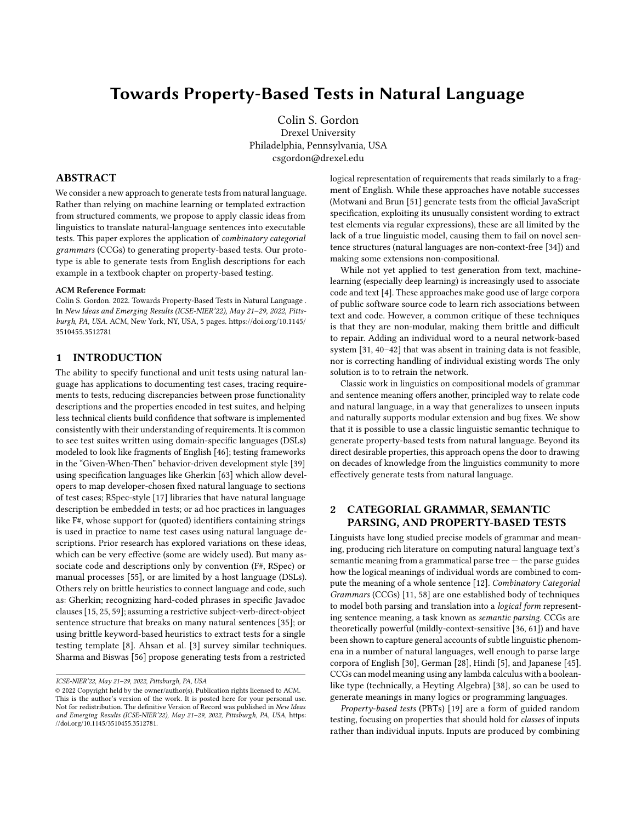# Towards Property-Based Tests in Natural Language

[Colin S. Gordon](https://orcid.org/0000-0002-9012-4490) Drexel University Philadelphia, Pennsylvania, USA csgordon@drexel.edu

# ABSTRACT

We consider a new approach to generate tests from natural language. Rather than relying on machine learning or templated extraction from structured comments, we propose to apply classic ideas from linguistics to translate natural-language sentences into executable tests. This paper explores the application of combinatory categorial grammars (CCGs) to generating property-based tests. Our prototype is able to generate tests from English descriptions for each example in a textbook chapter on property-based testing.

#### ACM Reference Format:

Colin S. Gordon. 2022. Towards Property-Based Tests in Natural Language . In New Ideas and Emerging Results (ICSE-NIER'22), May 21–29, 2022, Pittsburgh, PA, USA. ACM, New York, NY, USA, [5](#page-4-0) pages. [https://doi.org/10.1145/](https://doi.org/10.1145/3510455.3512781) [3510455.3512781](https://doi.org/10.1145/3510455.3512781)

#### 1 INTRODUCTION

The ability to specify functional and unit tests using natural language has applications to documenting test cases, tracing requirements to tests, reducing discrepancies between prose functionality descriptions and the properties encoded in test suites, and helping less technical clients build confidence that software is implemented consistently with their understanding of requirements. It is common to see test suites written using domain-specific languages (DSLs) modeled to look like fragments of English [\[46\]](#page-4-1); testing frameworks in the "Given-When-Then" behavior-driven development style [\[39\]](#page-4-2) using specification languages like Gherkin [\[63\]](#page-4-3) which allow developers to map developer-chosen fixed natural language to sections of test cases; RSpec-style [\[17\]](#page-4-4) libraries that have natural language description be embedded in tests; or ad hoc practices in languages like F#, whose support for (quoted) identifiers containing strings is used in practice to name test cases using natural language descriptions. Prior research has explored variations on these ideas, which can be very effective (some are widely used). But many associate code and descriptions only by convention (F#, RSpec) or manual processes [\[55\]](#page-4-5), or are limited by a host language (DSLs). Others rely on brittle heuristics to connect language and code, such as: Gherkin; recognizing hard-coded phrases in specific Javadoc clauses [\[15,](#page-4-6) [25,](#page-4-7) [59\]](#page-4-8); assuming a restrictive subject-verb-direct-object sentence structure that breaks on many natural sentences [\[35\]](#page-4-9); or using brittle keyword-based heuristics to extract tests for a single testing template [\[8\]](#page-4-10). Ahsan et al. [\[3\]](#page-4-11) survey similar techniques. Sharma and Biswas [\[56\]](#page-4-12) propose generating tests from a restricted

logical representation of requirements that reads similarly to a fragment of English. While these approaches have notable successes (Motwani and Brun [\[51\]](#page-4-13) generate tests from the official JavaScript specification, exploiting its unusually consistent wording to extract test elements via regular expressions), these are all limited by the lack of a true linguistic model, causing them to fail on novel sentence structures (natural languages are non-context-free [\[34\]](#page-4-14)) and making some extensions non-compositional.

While not yet applied to test generation from text, machinelearning (especially deep learning) is increasingly used to associate code and text [\[4\]](#page-4-15). These approaches make good use of large corpora of public software source code to learn rich associations between text and code. However, a common critique of these techniques is that they are non-modular, making them brittle and difficult to repair. Adding an individual word to a neural network-based system [\[31,](#page-4-16) [40–](#page-4-17)[42\]](#page-4-18) that was absent in training data is not feasible, nor is correcting handling of individual existing words The only solution is to to retrain the network.

Classic work in linguistics on compositional models of grammar and sentence meaning offers another, principled way to relate code and natural language, in a way that generalizes to unseen inputs and naturally supports modular extension and bug fixes. We show that it is possible to use a classic linguistic semantic technique to generate property-based tests from natural language. Beyond its direct desirable properties, this approach opens the door to drawing on decades of knowledge from the linguistics community to more effectively generate tests from natural language.

# 2 CATEGORIAL GRAMMAR, SEMANTIC PARSING, AND PROPERTY-BASED TESTS

Linguists have long studied precise models of grammar and meaning, producing rich literature on computing natural language text's semantic meaning from a grammatical parse tree — the parse guides how the logical meanings of individual words are combined to compute the meaning of a whole sentence [\[12\]](#page-4-19). Combinatory Categorial Grammars (CCGs) [\[11,](#page-4-20) [58\]](#page-4-21) are one established body of techniques to model both parsing and translation into a logical form representing sentence meaning, a task known as semantic parsing. CCGs are theoretically powerful (mildly-context-sensitive [\[36,](#page-4-22) [61\]](#page-4-23)) and have been shown to capture general accounts of subtle linguistic phenomena in a number of natural languages, well enough to parse large corpora of English [\[30\]](#page-4-24), German [\[28\]](#page-4-25), Hindi [\[5\]](#page-4-26), and Japanese [\[45\]](#page-4-27). CCGs can model meaning using any lambda calculus with a booleanlike type (technically, a Heyting Algebra) [\[38\]](#page-4-28), so can be used to generate meanings in many logics or programming languages.

Property-based tests (PBTs) [\[19\]](#page-4-29) are a form of guided random testing, focusing on properties that should hold for classes of inputs rather than individual inputs. Inputs are produced by combining

ICSE-NIER'22, May 21–29, 2022, Pittsburgh, PA, USA

<sup>©</sup> 2022 Copyright held by the owner/author(s). Publication rights licensed to ACM. This is the author's version of the work. It is posted here for your personal use. Not for redistribution. The definitive Version of Record was published in New Ideas and Emerging Results (ICSE-NIER'22), May 21–29, 2022, Pittsburgh, PA, USA, [https:](https://doi.org/10.1145/3510455.3512781) [//doi.org/10.1145/3510455.3512781.](https://doi.org/10.1145/3510455.3512781)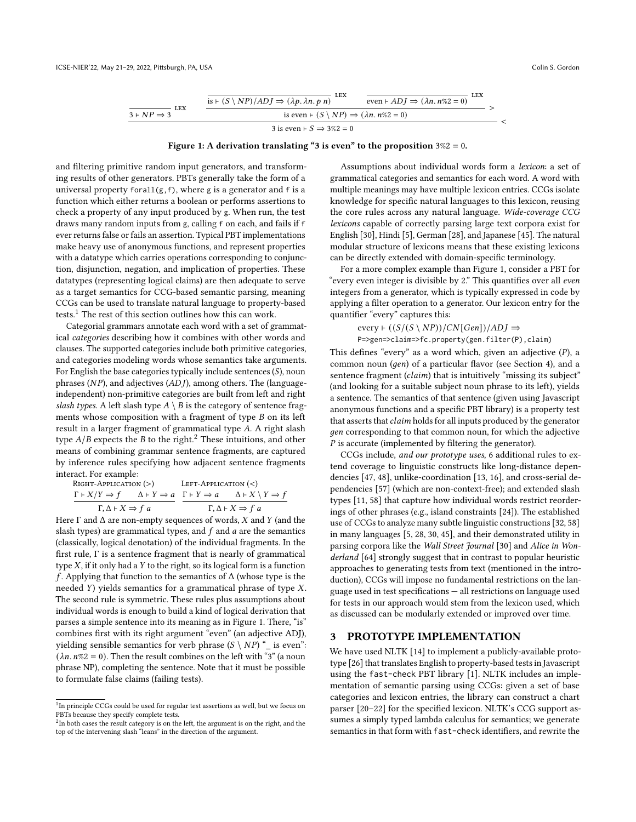<span id="page-1-2"></span>

Figure 1: A derivation translating "3 is even" to the proposition  $3\%2 = 0$ .

and filtering primitive random input generators, and transforming results of other generators. PBTs generally take the form of a universal property forall $(g, f)$ , where g is a generator and f is a function which either returns a boolean or performs assertions to check a property of any input produced by g. When run, the test draws many random inputs from g, calling f on each, and fails if f ever returns false or fails an assertion. Typical PBT implementations make heavy use of anonymous functions, and represent properties with a datatype which carries operations corresponding to conjunction, disjunction, negation, and implication of properties. These datatypes (representing logical claims) are then adequate to serve as a target semantics for CCG-based semantic parsing, meaning CCGs can be used to translate natural language to property-based tests.[1](#page-1-0) The rest of this section outlines how this can work.

Categorial grammars annotate each word with a set of grammatical categories describing how it combines with other words and clauses. The supported categories include both primitive categories, and categories modeling words whose semantics take arguments. For English the base categories typically include sentences  $(S)$ , noun phrases ( $NP$ ), and adjectives ( $ADJ$ ), among others. The (languageindependent) non-primitive categories are built from left and right slash types. A left slash type  $A \setminus B$  is the category of sentence fragments whose composition with a fragment of type  $B$  on its left result in a larger fragment of grammatical type A. A right slash type  $A/B$  expects the  $B$  to the right.<sup>[2](#page-1-1)</sup> These intuitions, and other means of combining grammar sentence fragments, are captured by inference rules specifying how adjacent sentence fragments interact. For example:

RIGHT-APPLICATION (>)   
\n
$$
\frac{\Gamma + X/Y \Rightarrow f \qquad \Delta + Y \Rightarrow a \qquad \Gamma + Y \Rightarrow a \qquad \Delta + X \setminus Y \Rightarrow f}{\Gamma, \Delta + X \Rightarrow f \ a} \qquad \frac{\Gamma + Y \Rightarrow a \qquad \Delta + X \setminus Y \Rightarrow f}{\Gamma, \Delta + X \Rightarrow f \ a}
$$

Here  $\Gamma$  and  $\Delta$  are non-empty sequences of words,  $X$  and  $Y$  (and the slash types) are grammatical types, and  $f$  and  $a$  are the semantics (classically, logical denotation) of the individual fragments. In the first rule, Γ is a sentence fragment that is nearly of grammatical type  $X$ , if it only had a  $Y$  to the right, so its logical form is a function f. Applying that function to the semantics of  $\Delta$  (whose type is the needed  $Y$ ) yields semantics for a grammatical phrase of type  $X$ . The second rule is symmetric. These rules plus assumptions about individual words is enough to build a kind of logical derivation that parses a simple sentence into its meaning as in Figure [1.](#page-1-2) There, "is" combines first with its right argument "even" (an adjective ADJ), yielding sensible semantics for verb phrase  $(S \setminus NP)$  " \_ is even":  $(\lambda n. n\%2 = 0)$ . Then the result combines on the left with "3" (a noun phrase NP), completing the sentence. Note that it must be possible to formulate false claims (failing tests).

Assumptions about individual words form a lexicon: a set of grammatical categories and semantics for each word. A word with multiple meanings may have multiple lexicon entries. CCGs isolate knowledge for specific natural languages to this lexicon, reusing the core rules across any natural language. Wide-coverage CCG lexicons capable of correctly parsing large text corpora exist for English [\[30\]](#page-4-24), Hindi [\[5\]](#page-4-26), German [\[28\]](#page-4-25), and Japanese [\[45\]](#page-4-27). The natural modular structure of lexicons means that these existing lexicons can be directly extended with domain-specific terminology.

For a more complex example than Figure [1,](#page-1-2) consider a PBT for "every even integer is divisible by 2." This quantifies over all even integers from a generator, which is typically expressed in code by applying a filter operation to a generator. Our lexicon entry for the quantifier "every" captures this:

> every  $\vdash ((S/(S \setminus NP))/CN[Gen])/ADJ \Rightarrow$ P=>gen=>claim=>fc.property(gen.filter(P),claim)

This defines "every" as a word which, given an adjective  $(P)$ , a common noun  $(qen)$  of a particular flavor (see Section [4\)](#page-3-0), and a sentence fragment (*claim*) that is intuitively "missing its subject" (and looking for a suitable subject noun phrase to its left), yields a sentence. The semantics of that sentence (given using Javascript anonymous functions and a specific PBT library) is a property test that asserts that *claim* holds for all inputs produced by the generator gen corresponding to that common noun, for which the adjective  $P$  is accurate (implemented by filtering the generator).

CCGs include, and our prototype uses, 6 additional rules to extend coverage to linguistic constructs like long-distance dependencies [\[47,](#page-4-30) [48\]](#page-4-31), unlike-coordination [\[13,](#page-4-32) [16\]](#page-4-33), and cross-serial dependencies [\[57\]](#page-4-34) (which are non-context-free); and extended slash types [\[11,](#page-4-20) [58\]](#page-4-21) that capture how individual words restrict reorderings of other phrases (e.g., island constraints [\[24\]](#page-4-35)). The established use of CCGs to analyze many subtle linguistic constructions [\[32,](#page-4-36) [58\]](#page-4-21) in many languages [\[5,](#page-4-26) [28,](#page-4-25) [30,](#page-4-24) [45\]](#page-4-27), and their demonstrated utility in parsing corpora like the Wall Street Journal [\[30\]](#page-4-24) and Alice in Wonderland [\[64\]](#page-4-37) strongly suggest that in contrast to popular heuristic approaches to generating tests from text (mentioned in the introduction), CCGs will impose no fundamental restrictions on the language used in test specifications — all restrictions on language used for tests in our approach would stem from the lexicon used, which as discussed can be modularly extended or improved over time.

#### 3 PROTOTYPE IMPLEMENTATION

We have used NLTK [\[14\]](#page-4-38) to implement a publicly-available prototype [\[26\]](#page-4-39) that translates English to property-based tests in Javascript using the fast-check PBT library [\[1\]](#page-4-40). NLTK includes an implementation of semantic parsing using CCGs: given a set of base categories and lexicon entries, the library can construct a chart parser [\[20](#page-4-41)[–22\]](#page-4-42) for the specified lexicon. NLTK's CCG support assumes a simply typed lambda calculus for semantics; we generate semantics in that form with fast-check identifiers, and rewrite the

<span id="page-1-0"></span><sup>&</sup>lt;sup>1</sup>In principle CCGs could be used for regular test assertions as well, but we focus on PBTs because they specify complete tests.

<span id="page-1-1"></span> $2$ In both cases the result category is on the left, the argument is on the right, and the top of the intervening slash "leans" in the direction of the argument.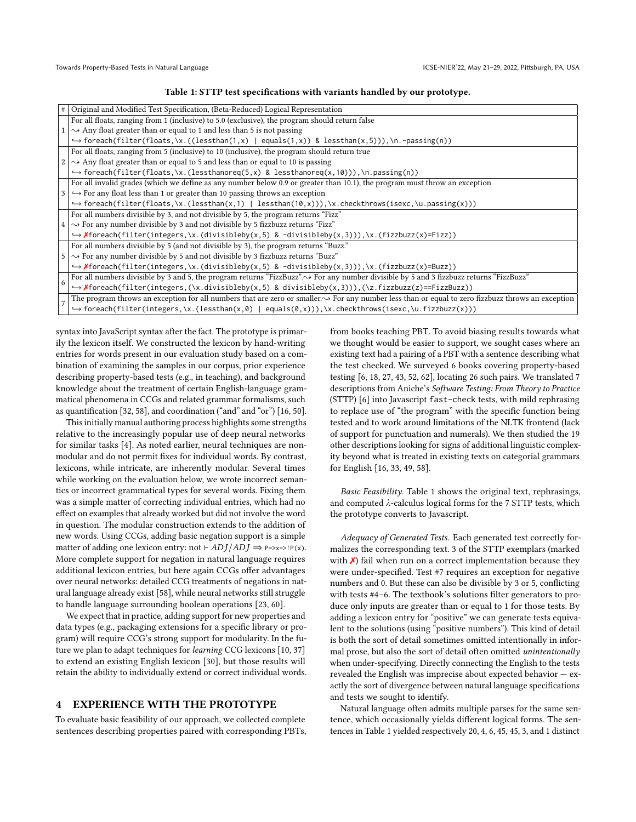#### Table 1: STTP test specifications with variants handled by our prototype.

<span id="page-2-0"></span>

| # | Original and Modified Test Specification, (Beta-Reduced) Logical Representation                                                                         |
|---|---------------------------------------------------------------------------------------------------------------------------------------------------------|
|   | For all floats, ranging from 1 (inclusive) to 5.0 (exclusive), the program should return false                                                          |
|   | $\rightarrow$ Any float greater than or equal to 1 and less than 5 is not passing                                                                       |
|   | $\hookrightarrow$ foreach(filter(floats,\x.((lessthan(1,x)   equals(1,x)) & lessthan(x,5))),\n.-passing(n))                                             |
|   | For all floats, ranging from 5 (inclusive) to 10 (inclusive), the program should return true                                                            |
|   | $\rightarrow$ Any float greater than or equal to 5 and less than or equal to 10 is passing                                                              |
|   | $\hookrightarrow$ foreach(filter(floats,\x.(lessthanoreq(5,x) & lessthanoreq(x,10))),\n.passing(n))                                                     |
|   | For all invalid grades (which we define as any number below 0.9 or greater than 10.1), the program must throw an exception                              |
|   | $\hookrightarrow$ For any float less than 1 or greater than 10 passing throws an exception                                                              |
|   | $\hookrightarrow$ foreach(filter(floats,\x.(lessthan(x,1)   lessthan(10,x))),\x.checkthrows(isexc,\u.passing(x)))                                       |
|   | For all numbers divisible by 3, and not divisible by 5, the program returns "Fizz"                                                                      |
|   | $\sim$ For any number divisible by 3 and not divisible by 5 fizzbuzz returns "Fizz"                                                                     |
|   | $\hookrightarrow$ <b>X</b> foreach(filter(integers,\x.(divisibleby(x,5) & -divisibleby(x,3))),\x.(fizzbuzz(x)=Fizz))                                    |
|   | For all numbers divisible by 5 (and not divisible by 3), the program returns "Buzz."                                                                    |
|   | $\sim$ For any number divisible by 5 and not divisible by 3 fizzbuzz returns "Buzz"                                                                     |
|   | $\rightarrow$ <b>X</b> foreach(filter(integers, \x.(divisibleby(x, 5) & -divisibleby(x, 3))), \x.(fizzbuzz(x)=Buzz))                                    |
| 6 | For all numbers divisible by 3 and 5, the program returns "FizzBuzz". $\rightarrow$ For any number divisible by 5 and 3 fizzbuzz returns "FizzBuzz"     |
|   | $\rightarrow$ <b>X</b> foreach(filter(integers,(\x.divisibleby(x,5) & divisibleby(x,3))),(\z.fizzbuzz(z)==FizzBuzz))                                    |
|   | The program throws an exception for all numbers that are zero or smaller. $\sim$ For any number less than or equal to zero fizzbuzz throws an exception |
|   | $\hookrightarrow$ foreach(filter(integers,\x.(lessthan(x,0)   equals(0,x))),\x.checkthrows(isexc,\u.fizzbuzz(x)))                                       |

syntax into JavaScript syntax after the fact. The prototype is primarily the lexicon itself. We constructed the lexicon by hand-writing entries for words present in our evaluation study based on a combination of examining the samples in our corpus, prior experience describing property-based tests (e.g., in teaching), and background knowledge about the treatment of certain English-language grammatical phenomena in CCGs and related grammar formalisms, such as quantification [\[32,](#page-4-36) [58\]](#page-4-21), and coordination ("and" and "or") [\[16,](#page-4-33) [50\]](#page-4-43).

This initially manual authoring process highlights some strengths relative to the increasingly popular use of deep neural networks for similar tasks [\[4\]](#page-4-15). As noted earlier, neural techniques are nonmodular and do not permit fixes for individual words. By contrast, lexicons, while intricate, are inherently modular. Several times while working on the evaluation below, we wrote incorrect semantics or incorrect grammatical types for several words. Fixing them was a simple matter of correcting individual entries, which had no effect on examples that already worked but did not involve the word in question. The modular construction extends to the addition of new words. Using CCGs, adding basic negation support is a simple matter of adding one lexicon entry: not  $\vdash ADJ/ADJ \Rightarrow P=\gtimes x \Rightarrow P(X)$ . More complete support for negation in natural language requires additional lexicon entries, but here again CCGs offer advantages over neural networks: detailed CCG treatments of negations in natural language already exist [\[58\]](#page-4-21), while neural networks still struggle to handle language surrounding boolean operations [\[23,](#page-4-44) [60\]](#page-4-45).

We expect that in practice, adding support for new properties and data types (e.g., packaging extensions for a specific library or program) will require CCG's strong support for modularity. In the future we plan to adapt techniques for learning CCG lexicons [\[10,](#page-4-46) [37\]](#page-4-47) to extend an existing English lexicon [\[30\]](#page-4-24), but those results will retain the ability to individually extend or correct individual words.

## 4 EXPERIENCE WITH THE PROTOTYPE

To evaluate basic feasibility of our approach, we collected complete sentences describing properties paired with corresponding PBTs, from books teaching PBT. To avoid biasing results towards what we thought would be easier to support, we sought cases where an existing text had a pairing of a PBT with a sentence describing what the test checked. We surveyed 6 books covering property-based testing [\[6,](#page-4-48) [18,](#page-4-49) [27,](#page-4-50) [43,](#page-4-51) [52,](#page-4-52) [62\]](#page-4-53), locating 26 such pairs. We translated 7 descriptions from Aniche's Software Testing: From Theory to Practice (STTP) [\[6\]](#page-4-48) into Javascript fast-check tests, with mild rephrasing to replace use of "the program" with the specific function being tested and to work around limitations of the NLTK frontend (lack of support for punctuation and numerals). We then studied the 19 other descriptions looking for signs of additional linguistic complexity beyond what is treated in existing texts on categorial grammars for English [\[16,](#page-4-33) [33,](#page-4-54) [49,](#page-4-55) [58\]](#page-4-21).

Basic Feasibility. Table [1](#page-2-0) shows the original text, rephrasings, and computed  $\lambda$ -calculus logical forms for the 7 STTP tests, which the prototype converts to Javascript.

Adequacy of Generated Tests. Each generated test correctly formalizes the corresponding text. 3 of the STTP exemplars (marked with  $\chi$ ) fail when run on a correct implementation because they were under-specified. Test #7 requires an exception for negative numbers and 0. But these can also be divisible by 3 or 5, conflicting with tests #4–6. The textbook's solutions filter generators to produce only inputs are greater than or equal to 1 for those tests. By adding a lexicon entry for "positive" we can generate tests equivalent to the solutions (using "positive numbers"). This kind of detail is both the sort of detail sometimes omitted intentionally in informal prose, but also the sort of detail often omitted unintentionally when under-specifying. Directly connecting the English to the tests revealed the English was imprecise about expected behavior — exactly the sort of divergence between natural language specifications and tests we sought to identify.

Natural language often admits multiple parses for the same sentence, which occasionally yields different logical forms. The sentences in Table [1](#page-2-0) yielded respectively 20, 4, 6, 45, 45, 3, and 1 distinct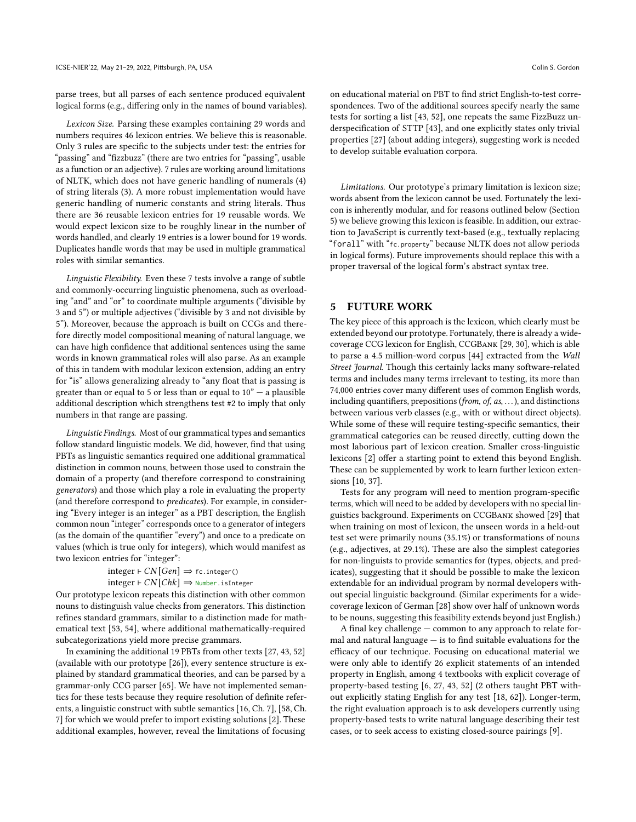parse trees, but all parses of each sentence produced equivalent logical forms (e.g., differing only in the names of bound variables).

Lexicon Size. Parsing these examples containing 29 words and numbers requires 46 lexicon entries. We believe this is reasonable. Only 3 rules are specific to the subjects under test: the entries for "passing" and "fizzbuzz" (there are two entries for "passing", usable as a function or an adjective). 7 rules are working around limitations of NLTK, which does not have generic handling of numerals (4) of string literals (3). A more robust implementation would have generic handling of numeric constants and string literals. Thus there are 36 reusable lexicon entries for 19 reusable words. We would expect lexicon size to be roughly linear in the number of words handled, and clearly 19 entries is a lower bound for 19 words. Duplicates handle words that may be used in multiple grammatical roles with similar semantics.

Linguistic Flexibility. Even these 7 tests involve a range of subtle and commonly-occurring linguistic phenomena, such as overloading "and" and "or" to coordinate multiple arguments ("divisible by 3 and 5") or multiple adjectives ("divisible by 3 and not divisible by 5"). Moreover, because the approach is built on CCGs and therefore directly model compositional meaning of natural language, we can have high confidence that additional sentences using the same words in known grammatical roles will also parse. As an example of this in tandem with modular lexicon extension, adding an entry for "is" allows generalizing already to "any float that is passing is greater than or equal to 5 or less than or equal to  $10" - a$  plausible additional description which strengthens test #2 to imply that only numbers in that range are passing.

<span id="page-3-0"></span>Linguistic Findings. Most of our grammatical types and semantics follow standard linguistic models. We did, however, find that using PBTs as linguistic semantics required one additional grammatical distinction in common nouns, between those used to constrain the domain of a property (and therefore correspond to constraining generators) and those which play a role in evaluating the property (and therefore correspond to predicates). For example, in considering "Every integer is an integer" as a PBT description, the English common noun "integer" corresponds once to a generator of integers (as the domain of the quantifier "every") and once to a predicate on values (which is true only for integers), which would manifest as two lexicon entries for "integer":

```
integer \vdash CN[Gen] \Rightarrow fc.integer()
integer \vdash CN[Chk] \Rightarrow Number.isInteger
```
Our prototype lexicon repeats this distinction with other common nouns to distinguish value checks from generators. This distinction refines standard grammars, similar to a distinction made for mathematical text [\[53,](#page-4-56) [54\]](#page-4-57), where additional mathematically-required subcategorizations yield more precise grammars.

In examining the additional 19 PBTs from other texts [\[27,](#page-4-50) [43,](#page-4-51) [52\]](#page-4-52) (available with our prototype [\[26\]](#page-4-39)), every sentence structure is explained by standard grammatical theories, and can be parsed by a grammar-only CCG parser [\[65\]](#page-4-58). We have not implemented semantics for these tests because they require resolution of definite referents, a linguistic construct with subtle semantics [\[16,](#page-4-33) Ch. 7], [\[58,](#page-4-21) Ch. 7] for which we would prefer to import existing solutions [\[2\]](#page-4-59). These additional examples, however, reveal the limitations of focusing

on educational material on PBT to find strict English-to-test correspondences. Two of the additional sources specify nearly the same tests for sorting a list [\[43,](#page-4-51) [52\]](#page-4-52), one repeats the same FizzBuzz underspecification of STTP [\[43\]](#page-4-51), and one explicitly states only trivial properties [\[27\]](#page-4-50) (about adding integers), suggesting work is needed to develop suitable evaluation corpora.

Limitations. Our prototype's primary limitation is lexicon size; words absent from the lexicon cannot be used. Fortunately the lexicon is inherently modular, and for reasons outlined below (Section [5\)](#page-3-1) we believe growing this lexicon is feasible. In addition, our extraction to JavaScript is currently text-based (e.g., textually replacing "forall" with "fc.property" because NLTK does not allow periods in logical forms). Future improvements should replace this with a proper traversal of the logical form's abstract syntax tree.

# <span id="page-3-1"></span>5 FUTURE WORK

The key piece of this approach is the lexicon, which clearly must be extended beyond our prototype. Fortunately, there is already a widecoverage CCG lexicon for English, CCGBank [\[29,](#page-4-60) [30\]](#page-4-24), which is able to parse a 4.5 million-word corpus [\[44\]](#page-4-61) extracted from the Wall Street Journal. Though this certainly lacks many software-related terms and includes many terms irrelevant to testing, its more than 74,000 entries cover many different uses of common English words, including quantifiers, prepositions (from, of,  $as$ , ...), and distinctions between various verb classes (e.g., with or without direct objects). While some of these will require testing-specific semantics, their grammatical categories can be reused directly, cutting down the most laborious part of lexicon creation. Smaller cross-linguistic lexicons [\[2\]](#page-4-59) offer a starting point to extend this beyond English. These can be supplemented by work to learn further lexicon extensions [\[10,](#page-4-46) [37\]](#page-4-47).

Tests for any program will need to mention program-specific terms, which will need to be added by developers with no special linguistics background. Experiments on CCGBank showed [\[29\]](#page-4-60) that when training on most of lexicon, the unseen words in a held-out test set were primarily nouns (35.1%) or transformations of nouns (e.g., adjectives, at 29.1%). These are also the simplest categories for non-linguists to provide semantics for (types, objects, and predicates), suggesting that it should be possible to make the lexicon extendable for an individual program by normal developers without special linguistic background. (Similar experiments for a widecoverage lexicon of German [\[28\]](#page-4-25) show over half of unknown words to be nouns, suggesting this feasibility extends beyond just English.)

A final key challenge — common to any approach to relate formal and natural language  $-$  is to find suitable evaluations for the efficacy of our technique. Focusing on educational material we were only able to identify 26 explicit statements of an intended property in English, among 4 textbooks with explicit coverage of property-based testing [\[6,](#page-4-48) [27,](#page-4-50) [43,](#page-4-51) [52\]](#page-4-52) (2 others taught PBT without explicitly stating English for any test [\[18,](#page-4-49) [62\]](#page-4-53)). Longer-term, the right evaluation approach is to ask developers currently using property-based tests to write natural language describing their test cases, or to seek access to existing closed-source pairings [\[9\]](#page-4-62).